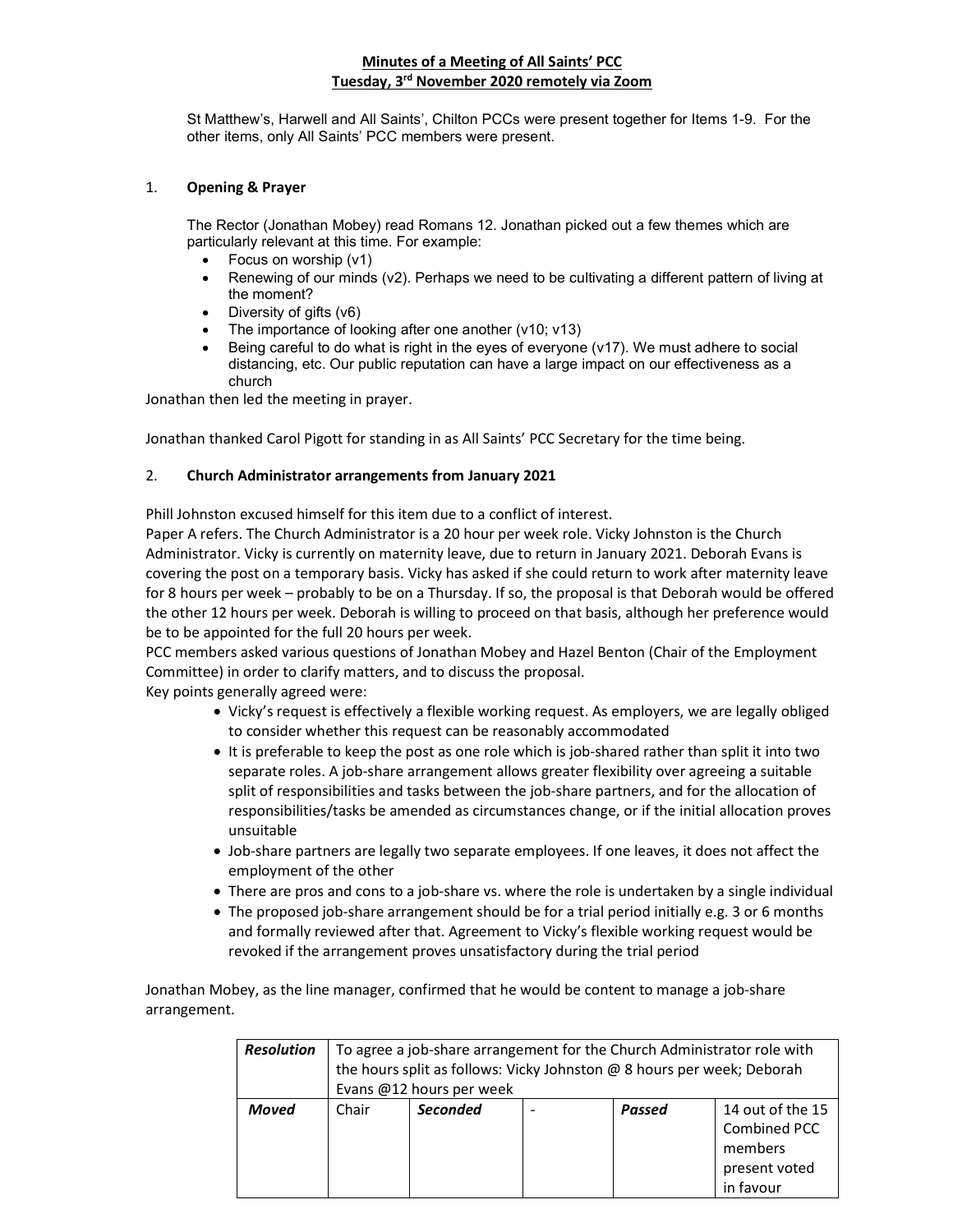## Minutes of a Meeting of All Saints' PCC Tuesday, 3rd November 2020 remotely via Zoom

St Matthew's, Harwell and All Saints', Chilton PCCs were present together for Items 1-9. For the other items, only All Saints' PCC members were present.

## 1. Opening & Prayer

The Rector (Jonathan Mobey) read Romans 12. Jonathan picked out a few themes which are particularly relevant at this time. For example:

- Focus on worship (v1)
- Renewing of our minds (v2). Perhaps we need to be cultivating a different pattern of living at the moment?
- Diversity of gifts (v6)
- The importance of looking after one another (v10; v13)
- Being careful to do what is right in the eyes of everyone (v17). We must adhere to social distancing, etc. Our public reputation can have a large impact on our effectiveness as a church

Jonathan then led the meeting in prayer.

Jonathan thanked Carol Pigott for standing in as All Saints' PCC Secretary for the time being.

#### 2. Church Administrator arrangements from January 2021

Phill Johnston excused himself for this item due to a conflict of interest.

Paper A refers. The Church Administrator is a 20 hour per week role. Vicky Johnston is the Church Administrator. Vicky is currently on maternity leave, due to return in January 2021. Deborah Evans is covering the post on a temporary basis. Vicky has asked if she could return to work after maternity leave for 8 hours per week – probably to be on a Thursday. If so, the proposal is that Deborah would be offered the other 12 hours per week. Deborah is willing to proceed on that basis, although her preference would be to be appointed for the full 20 hours per week.

PCC members asked various questions of Jonathan Mobey and Hazel Benton (Chair of the Employment Committee) in order to clarify matters, and to discuss the proposal.

Key points generally agreed were:

- Vicky's request is effectively a flexible working request. As employers, we are legally obliged to consider whether this request can be reasonably accommodated
- It is preferable to keep the post as one role which is job-shared rather than split it into two separate roles. A job-share arrangement allows greater flexibility over agreeing a suitable split of responsibilities and tasks between the job-share partners, and for the allocation of responsibilities/tasks be amended as circumstances change, or if the initial allocation proves unsuitable
- Job-share partners are legally two separate employees. If one leaves, it does not affect the employment of the other
- There are pros and cons to a job-share vs. where the role is undertaken by a single individual
- The proposed job-share arrangement should be for a trial period initially e.g. 3 or 6 months and formally reviewed after that. Agreement to Vicky's flexible working request would be revoked if the arrangement proves unsatisfactory during the trial period

Jonathan Mobey, as the line manager, confirmed that he would be content to manage a job-share arrangement.

| <b>Resolution</b> | To agree a job-share arrangement for the Church Administrator role with<br>the hours split as follows: Vicky Johnston @ 8 hours per week; Deborah<br>Evans @12 hours per week |                 |  |        |                                                                           |
|-------------------|-------------------------------------------------------------------------------------------------------------------------------------------------------------------------------|-----------------|--|--------|---------------------------------------------------------------------------|
| Moved             | Chair                                                                                                                                                                         | <b>Seconded</b> |  | Passed | 14 out of the 15<br>Combined PCC<br>members<br>present voted<br>in favour |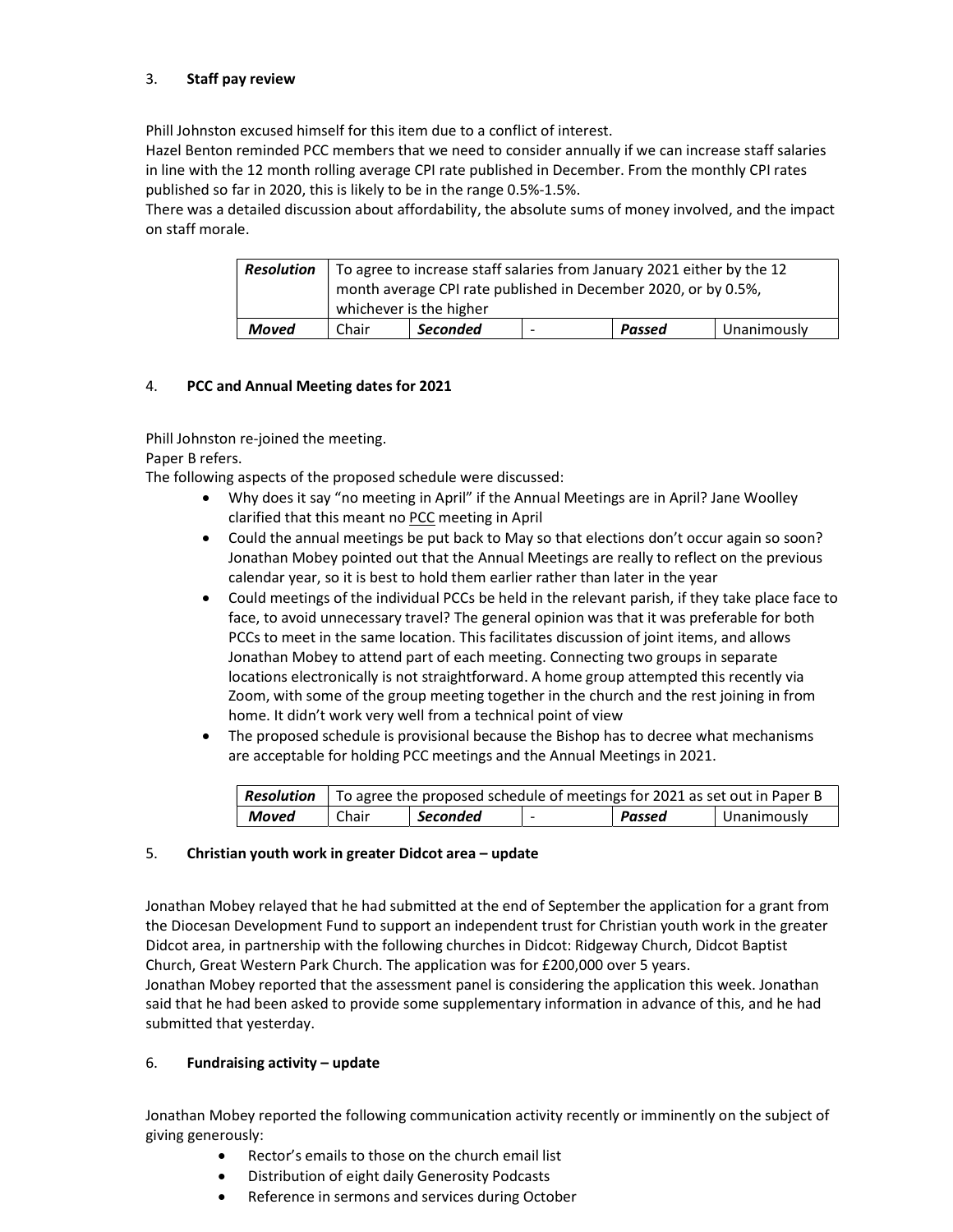## 3. Staff pay review

Phill Johnston excused himself for this item due to a conflict of interest.

Hazel Benton reminded PCC members that we need to consider annually if we can increase staff salaries in line with the 12 month rolling average CPI rate published in December. From the monthly CPI rates published so far in 2020, this is likely to be in the range 0.5%-1.5%.

There was a detailed discussion about affordability, the absolute sums of money involved, and the impact on staff morale.

| <b>Resolution</b> |       | To agree to increase staff salaries from January 2021 either by the 12<br>month average CPI rate published in December 2020, or by 0.5%,<br>whichever is the higher |   |        |             |
|-------------------|-------|---------------------------------------------------------------------------------------------------------------------------------------------------------------------|---|--------|-------------|
| Moved             | Chair | <b>Seconded</b>                                                                                                                                                     | - | Passed | Unanimously |

## 4. PCC and Annual Meeting dates for 2021

Phill Johnston re-joined the meeting. Paper B refers.

The following aspects of the proposed schedule were discussed:

- Why does it say "no meeting in April" if the Annual Meetings are in April? Jane Woolley clarified that this meant no PCC meeting in April
- Could the annual meetings be put back to May so that elections don't occur again so soon? Jonathan Mobey pointed out that the Annual Meetings are really to reflect on the previous calendar year, so it is best to hold them earlier rather than later in the year
- Could meetings of the individual PCCs be held in the relevant parish, if they take place face to face, to avoid unnecessary travel? The general opinion was that it was preferable for both PCCs to meet in the same location. This facilitates discussion of joint items, and allows Jonathan Mobey to attend part of each meeting. Connecting two groups in separate locations electronically is not straightforward. A home group attempted this recently via Zoom, with some of the group meeting together in the church and the rest joining in from home. It didn't work very well from a technical point of view
- The proposed schedule is provisional because the Bishop has to decree what mechanisms are acceptable for holding PCC meetings and the Annual Meetings in 2021.

|       | <b>Resolution</b> To agree the proposed schedule of meetings for 2021 as set out in Paper B |          |  |        |             |
|-------|---------------------------------------------------------------------------------------------|----------|--|--------|-------------|
| Moved | Chair                                                                                       | Seconded |  | Passed | Unanimously |

## 5. Christian youth work in greater Didcot area – update

Jonathan Mobey relayed that he had submitted at the end of September the application for a grant from the Diocesan Development Fund to support an independent trust for Christian youth work in the greater Didcot area, in partnership with the following churches in Didcot: Ridgeway Church, Didcot Baptist Church, Great Western Park Church. The application was for £200,000 over 5 years.

Jonathan Mobey reported that the assessment panel is considering the application this week. Jonathan said that he had been asked to provide some supplementary information in advance of this, and he had submitted that yesterday.

## 6. Fundraising activity – update

Jonathan Mobey reported the following communication activity recently or imminently on the subject of giving generously:

- Rector's emails to those on the church email list
- Distribution of eight daily Generosity Podcasts
- Reference in sermons and services during October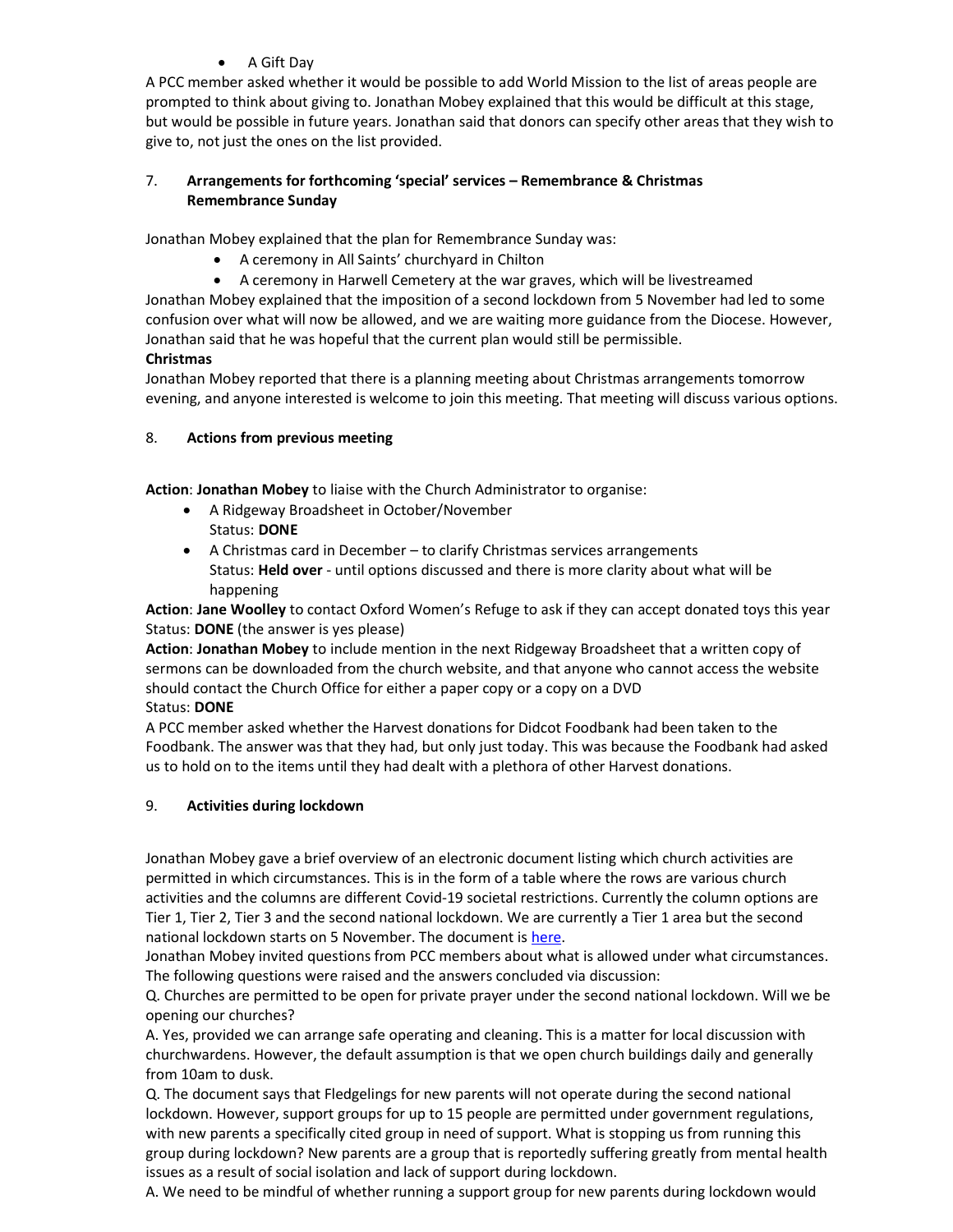## A Gift Day

A PCC member asked whether it would be possible to add World Mission to the list of areas people are prompted to think about giving to. Jonathan Mobey explained that this would be difficult at this stage, but would be possible in future years. Jonathan said that donors can specify other areas that they wish to give to, not just the ones on the list provided.

## 7. Arrangements for forthcoming 'special' services – Remembrance & Christmas Remembrance Sunday

Jonathan Mobey explained that the plan for Remembrance Sunday was:

- A ceremony in All Saints' churchyard in Chilton
- A ceremony in Harwell Cemetery at the war graves, which will be livestreamed

Jonathan Mobey explained that the imposition of a second lockdown from 5 November had led to some confusion over what will now be allowed, and we are waiting more guidance from the Diocese. However, Jonathan said that he was hopeful that the current plan would still be permissible.

# Christmas

Jonathan Mobey reported that there is a planning meeting about Christmas arrangements tomorrow evening, and anyone interested is welcome to join this meeting. That meeting will discuss various options.

# 8. Actions from previous meeting

Action: Jonathan Mobey to liaise with the Church Administrator to organise:

- A Ridgeway Broadsheet in October/November Status: DONE
- A Christmas card in December to clarify Christmas services arrangements Status: Held over - until options discussed and there is more clarity about what will be happening

Action: Jane Woolley to contact Oxford Women's Refuge to ask if they can accept donated toys this year Status: DONE (the answer is yes please)

Action: Jonathan Mobey to include mention in the next Ridgeway Broadsheet that a written copy of sermons can be downloaded from the church website, and that anyone who cannot access the website should contact the Church Office for either a paper copy or a copy on a DVD Status: DONE

A PCC member asked whether the Harvest donations for Didcot Foodbank had been taken to the Foodbank. The answer was that they had, but only just today. This was because the Foodbank had asked us to hold on to the items until they had dealt with a plethora of other Harvest donations.

# 9. Activities during lockdown

Jonathan Mobey gave a brief overview of an electronic document listing which church activities are permitted in which circumstances. This is in the form of a table where the rows are various church activities and the columns are different Covid-19 societal restrictions. Currently the column options are Tier 1, Tier 2, Tier 3 and the second national lockdown. We are currently a Tier 1 area but the second national lockdown starts on 5 November. The document is here.

Jonathan Mobey invited questions from PCC members about what is allowed under what circumstances. The following questions were raised and the answers concluded via discussion:

Q. Churches are permitted to be open for private prayer under the second national lockdown. Will we be opening our churches?

A. Yes, provided we can arrange safe operating and cleaning. This is a matter for local discussion with churchwardens. However, the default assumption is that we open church buildings daily and generally from 10am to dusk.

Q. The document says that Fledgelings for new parents will not operate during the second national lockdown. However, support groups for up to 15 people are permitted under government regulations, with new parents a specifically cited group in need of support. What is stopping us from running this group during lockdown? New parents are a group that is reportedly suffering greatly from mental health issues as a result of social isolation and lack of support during lockdown.

A. We need to be mindful of whether running a support group for new parents during lockdown would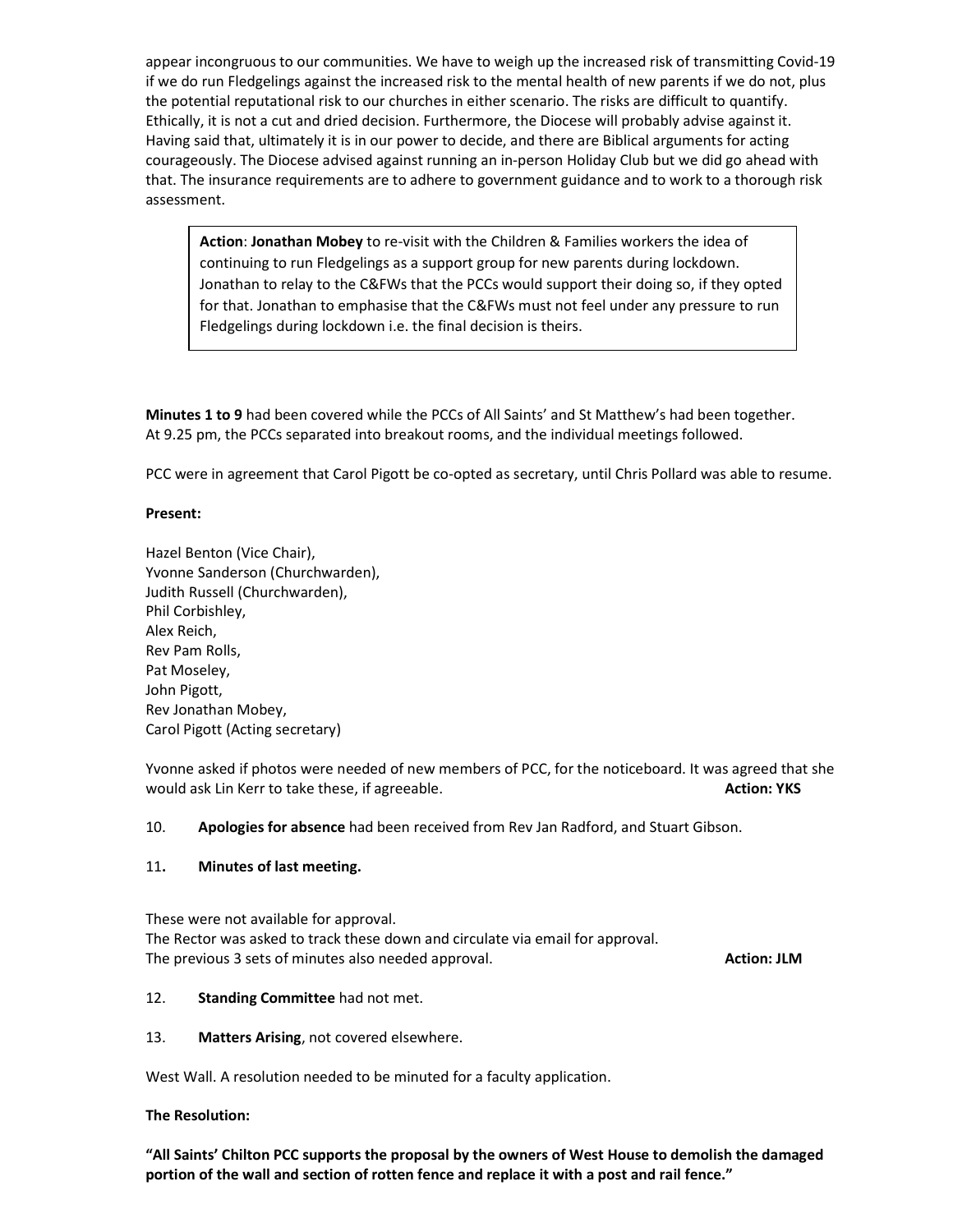appear incongruous to our communities. We have to weigh up the increased risk of transmitting Covid-19 if we do run Fledgelings against the increased risk to the mental health of new parents if we do not, plus the potential reputational risk to our churches in either scenario. The risks are difficult to quantify. Ethically, it is not a cut and dried decision. Furthermore, the Diocese will probably advise against it. Having said that, ultimately it is in our power to decide, and there are Biblical arguments for acting courageously. The Diocese advised against running an in-person Holiday Club but we did go ahead with that. The insurance requirements are to adhere to government guidance and to work to a thorough risk assessment.

Action: Jonathan Mobey to re-visit with the Children & Families workers the idea of continuing to run Fledgelings as a support group for new parents during lockdown. Jonathan to relay to the C&FWs that the PCCs would support their doing so, if they opted for that. Jonathan to emphasise that the C&FWs must not feel under any pressure to run Fledgelings during lockdown i.e. the final decision is theirs.

Minutes 1 to 9 had been covered while the PCCs of All Saints' and St Matthew's had been together. At 9.25 pm, the PCCs separated into breakout rooms, and the individual meetings followed.

PCC were in agreement that Carol Pigott be co-opted as secretary, until Chris Pollard was able to resume.

## Present:

Hazel Benton (Vice Chair), Yvonne Sanderson (Churchwarden), Judith Russell (Churchwarden), Phil Corbishley, Alex Reich, Rev Pam Rolls, Pat Moseley, John Pigott, Rev Jonathan Mobey, Carol Pigott (Acting secretary)

Yvonne asked if photos were needed of new members of PCC, for the noticeboard. It was agreed that she would ask Lin Kerr to take these, if agreeable. Action: YKS and the set of the set of the set of the set of the set of the set of the set of the set of the set of the set of the set of the set of the set of the set of the

10. Apologies for absence had been received from Rev Jan Radford, and Stuart Gibson.

## 11. Minutes of last meeting.

These were not available for approval. The Rector was asked to track these down and circulate via email for approval. The previous 3 sets of minutes also needed approval. The previous 3 sets of minutes also needed approval.

## 12. Standing Committee had not met.

## 13. Matters Arising, not covered elsewhere.

West Wall. A resolution needed to be minuted for a faculty application.

## The Resolution:

"All Saints' Chilton PCC supports the proposal by the owners of West House to demolish the damaged portion of the wall and section of rotten fence and replace it with a post and rail fence."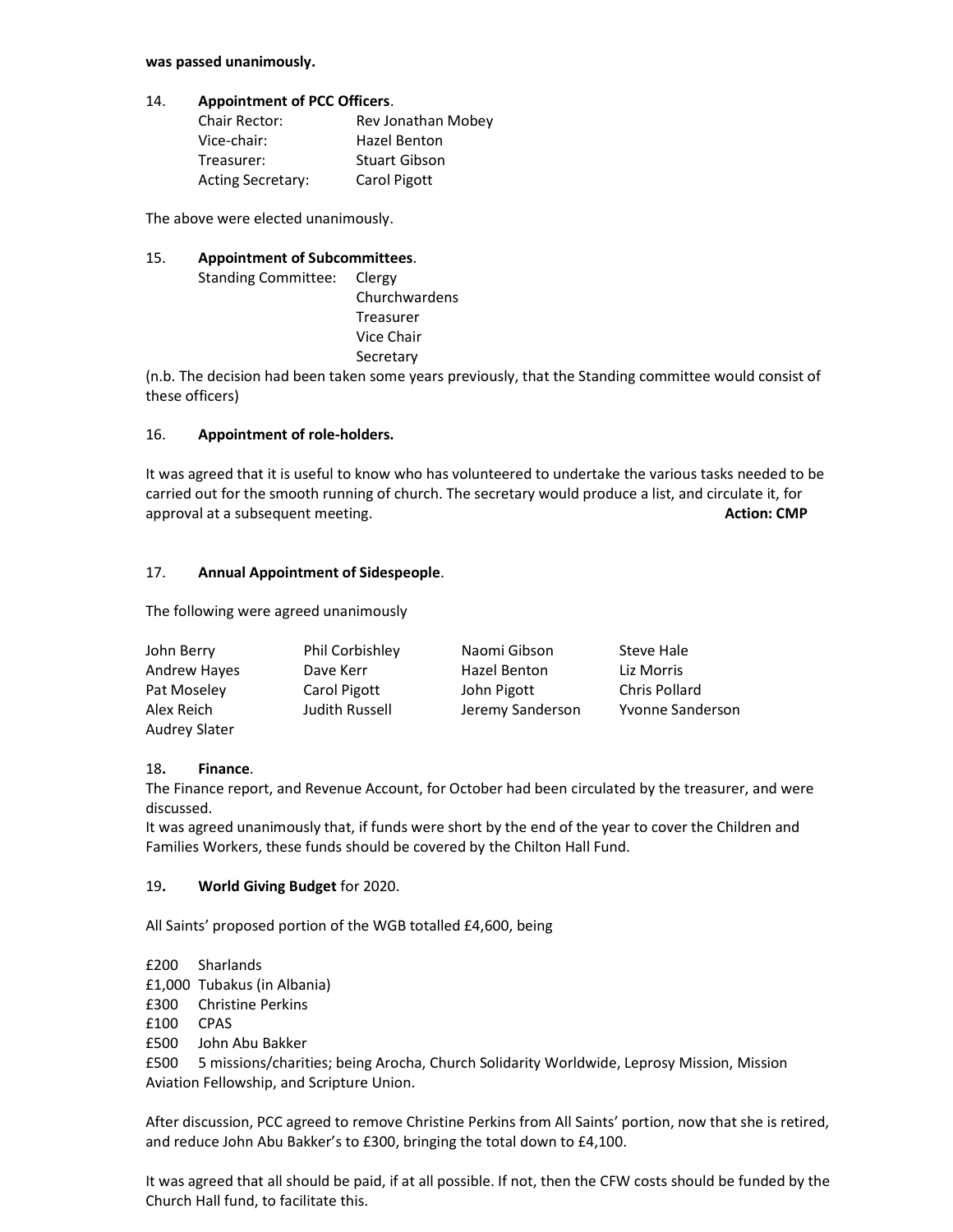#### was passed unanimously.

## 14. Appointment of PCC Officers.

| Chair Rector:            | Rev Jonathan Mobey   |
|--------------------------|----------------------|
| Vice-chair:              | Hazel Benton         |
| Treasurer:               | <b>Stuart Gibson</b> |
| <b>Acting Secretary:</b> | Carol Pigott         |

The above were elected unanimously.

## 15. Appointment of Subcommittees.

| Standing Committee: Clergy |               |
|----------------------------|---------------|
|                            | Churchwardens |
|                            | Treasurer     |
|                            | Vice Chair    |
|                            | Secretary     |
|                            |               |

(n.b. The decision had been taken some years previously, that the Standing committee would consist of these officers)

## 16. Appointment of role-holders.

It was agreed that it is useful to know who has volunteered to undertake the various tasks needed to be carried out for the smooth running of church. The secretary would produce a list, and circulate it, for approval at a subsequent meeting. Action: CMP approval at a subsequent meeting.

## 17. Annual Appointment of Sidespeople.

The following were agreed unanimously

| John Berry           | Phil Corbishley | Naomi Gibson     | Steve Hale           |
|----------------------|-----------------|------------------|----------------------|
| <b>Andrew Hayes</b>  | Dave Kerr       | Hazel Benton     | Liz Morris           |
| Pat Moseley          | Carol Pigott    | John Pigott      | <b>Chris Pollard</b> |
| Alex Reich           | Judith Russell  | Jeremy Sanderson | Yvonne Sanderson     |
| <b>Audrey Slater</b> |                 |                  |                      |

## 18. Finance.

The Finance report, and Revenue Account, for October had been circulated by the treasurer, and were discussed.

It was agreed unanimously that, if funds were short by the end of the year to cover the Children and Families Workers, these funds should be covered by the Chilton Hall Fund.

## 19. World Giving Budget for 2020.

All Saints' proposed portion of the WGB totalled £4,600, being

£200 Sharlands

- £1,000 Tubakus (in Albania)
- £300 Christine Perkins
- £100 CPAS
- £500 John Abu Bakker

£500 5 missions/charities; being Arocha, Church Solidarity Worldwide, Leprosy Mission, Mission Aviation Fellowship, and Scripture Union.

After discussion, PCC agreed to remove Christine Perkins from All Saints' portion, now that she is retired, and reduce John Abu Bakker's to £300, bringing the total down to £4,100.

It was agreed that all should be paid, if at all possible. If not, then the CFW costs should be funded by the Church Hall fund, to facilitate this.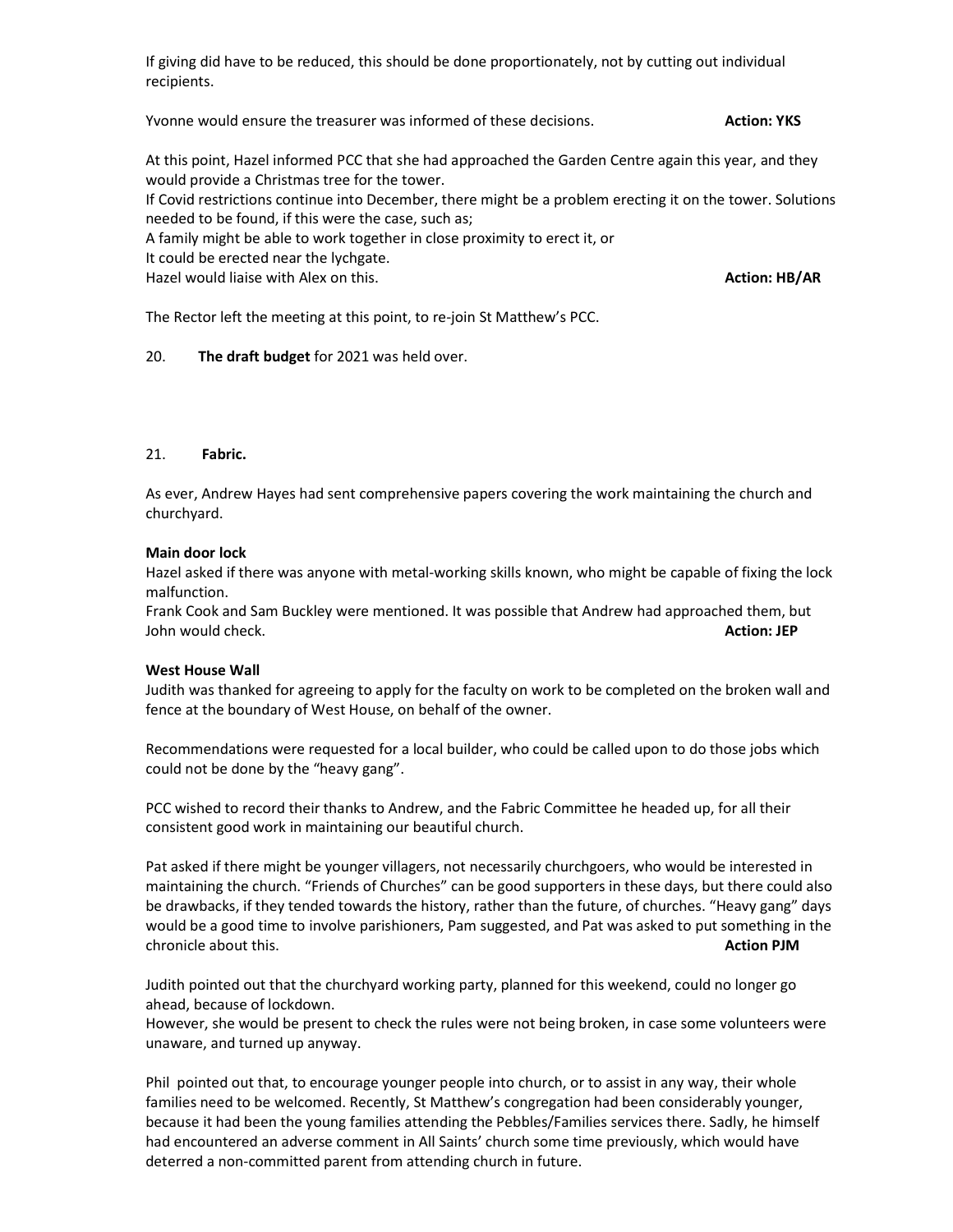If giving did have to be reduced, this should be done proportionately, not by cutting out individual recipients.

Yvonne would ensure the treasurer was informed of these decisions. Action: YKS

At this point, Hazel informed PCC that she had approached the Garden Centre again this year, and they would provide a Christmas tree for the tower.

If Covid restrictions continue into December, there might be a problem erecting it on the tower. Solutions needed to be found, if this were the case, such as;

- A family might be able to work together in close proximity to erect it, or
- It could be erected near the lychgate.

Hazel would liaise with Alex on this. Action: HB/AR Action: HB/AR

The Rector left the meeting at this point, to re-join St Matthew's PCC.

## 20. The draft budget for 2021 was held over.

## 21. Fabric.

As ever, Andrew Hayes had sent comprehensive papers covering the work maintaining the church and churchyard.

#### Main door lock

Hazel asked if there was anyone with metal-working skills known, who might be capable of fixing the lock malfunction.

Frank Cook and Sam Buckley were mentioned. It was possible that Andrew had approached them, but John would check. **Action: JEP** and the set of the set of the set of the set of the set of the set of the set of the set of the set of the set of the set of the set of the set of the set of the set of the set of the set of

## West House Wall

Judith was thanked for agreeing to apply for the faculty on work to be completed on the broken wall and fence at the boundary of West House, on behalf of the owner.

Recommendations were requested for a local builder, who could be called upon to do those jobs which could not be done by the "heavy gang".

PCC wished to record their thanks to Andrew, and the Fabric Committee he headed up, for all their consistent good work in maintaining our beautiful church.

Pat asked if there might be younger villagers, not necessarily churchgoers, who would be interested in maintaining the church. "Friends of Churches" can be good supporters in these days, but there could also be drawbacks, if they tended towards the history, rather than the future, of churches. "Heavy gang" days would be a good time to involve parishioners, Pam suggested, and Pat was asked to put something in the chronicle about this. Action PJM and the chronicle about this chronicle about this chronicle about this chronicle about the chronicle about the chronicle about the chronicle about the chronicle about the chronicle about th

Judith pointed out that the churchyard working party, planned for this weekend, could no longer go ahead, because of lockdown.

However, she would be present to check the rules were not being broken, in case some volunteers were unaware, and turned up anyway.

Phil pointed out that, to encourage younger people into church, or to assist in any way, their whole families need to be welcomed. Recently, St Matthew's congregation had been considerably younger, because it had been the young families attending the Pebbles/Families services there. Sadly, he himself had encountered an adverse comment in All Saints' church some time previously, which would have deterred a non-committed parent from attending church in future.